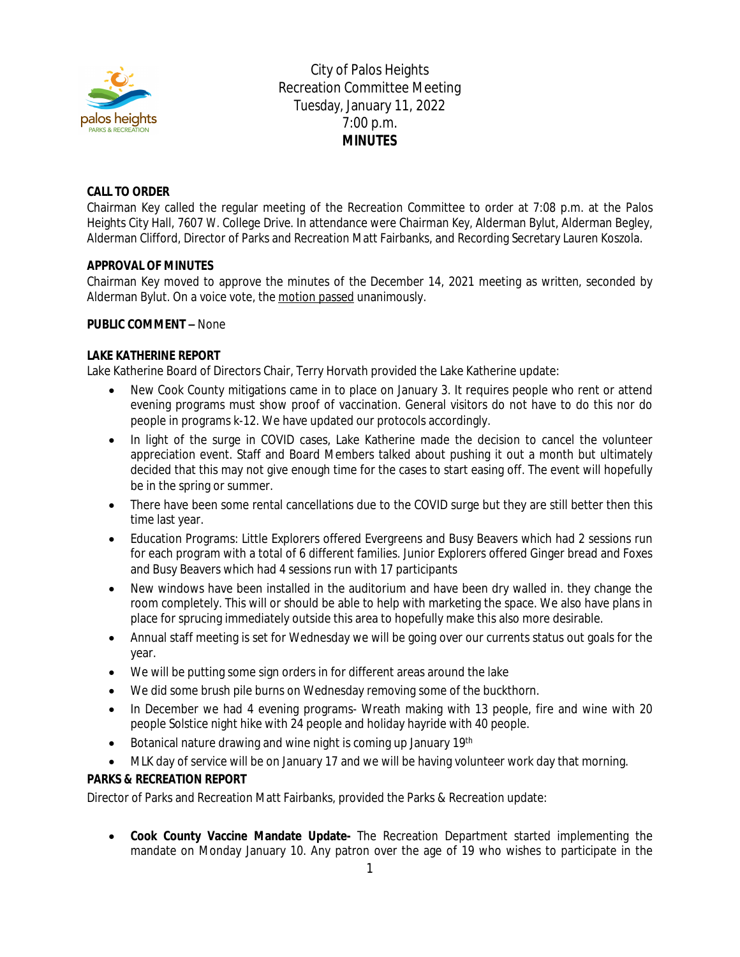

City of Palos Heights Recreation Committee Meeting Tuesday, January 11, 2022 7:00 p.m. **MINUTES**

# **CALL TO ORDER**

Chairman Key called the regular meeting of the Recreation Committee to order at 7:08 p.m. at the Palos Heights City Hall, 7607 W. College Drive. In attendance were Chairman Key, Alderman Bylut, Alderman Begley, Alderman Clifford, Director of Parks and Recreation Matt Fairbanks, and Recording Secretary Lauren Koszola.

# **APPROVAL OF MINUTES**

Chairman Key moved to approve the minutes of the December 14, 2021 meeting as written, seconded by Alderman Bylut. On a voice vote, the motion passed unanimously.

#### **PUBLIC COMMENT –** None

### **LAKE KATHERINE REPORT**

Lake Katherine Board of Directors Chair, Terry Horvath provided the Lake Katherine update:

- New Cook County mitigations came in to place on January 3. It requires people who rent or attend evening programs must show proof of vaccination. General visitors do not have to do this nor do people in programs k-12. We have updated our protocols accordingly.
- In light of the surge in COVID cases, Lake Katherine made the decision to cancel the volunteer appreciation event. Staff and Board Members talked about pushing it out a month but ultimately decided that this may not give enough time for the cases to start easing off. The event will hopefully be in the spring or summer.
- There have been some rental cancellations due to the COVID surge but they are still better then this time last year.
- Education Programs: Little Explorers offered Evergreens and Busy Beavers which had 2 sessions run for each program with a total of 6 different families. Junior Explorers offered Ginger bread and Foxes and Busy Beavers which had 4 sessions run with 17 participants
- New windows have been installed in the auditorium and have been dry walled in. they change the room completely. This will or should be able to help with marketing the space. We also have plans in place for sprucing immediately outside this area to hopefully make this also more desirable.
- Annual staff meeting is set for Wednesday we will be going over our currents status out goals for the year.
- We will be putting some sign orders in for different areas around the lake
- We did some brush pile burns on Wednesday removing some of the buckthorn.
- In December we had 4 evening programs- Wreath making with 13 people, fire and wine with 20 people Solstice night hike with 24 people and holiday hayride with 40 people.
- Botanical nature drawing and wine night is coming up January 19th
- MLK day of service will be on January 17 and we will be having volunteer work day that morning.

# **PARKS & RECREATION REPORT**

Director of Parks and Recreation Matt Fairbanks, provided the Parks & Recreation update:

 **Cook County Vaccine Mandate Update-** The Recreation Department started implementing the mandate on Monday January 10. Any patron over the age of 19 who wishes to participate in the